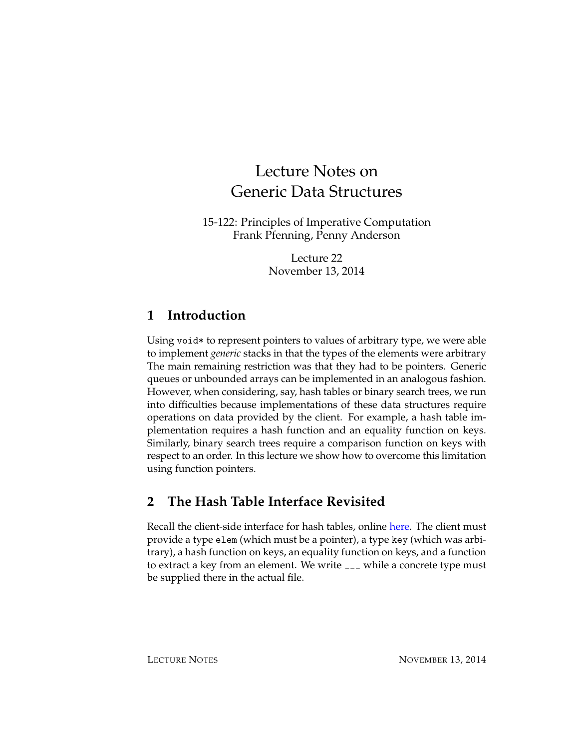# Lecture Notes on Generic Data Structures

15-122: Principles of Imperative Computation Frank Pfenning, Penny Anderson

> Lecture 22 November 13, 2014

# **1 Introduction**

Using void\* to represent pointers to values of arbitrary type, we were able to implement *generic* stacks in that the types of the elements were arbitrary The main remaining restriction was that they had to be pointers. Generic queues or unbounded arrays can be implemented in an analogous fashion. However, when considering, say, hash tables or binary search trees, we run into difficulties because implementations of these data structures require operations on data provided by the client. For example, a hash table implementation requires a hash function and an equality function on keys. Similarly, binary search trees require a comparison function on keys with respect to an order. In this lecture we show how to overcome this limitation using function pointers.

# **2 The Hash Table Interface Revisited**

Recall the client-side interface for hash tables, online [here.](http://www.cs.cmu.edu/~rjsimmon/15122-m14/lec/13-interfaces/ht-inclass.c0) The client must provide a type elem (which must be a pointer), a type key (which was arbitrary), a hash function on keys, an equality function on keys, and a function to extract a key from an element. We write \_\_\_ while a concrete type must be supplied there in the actual file.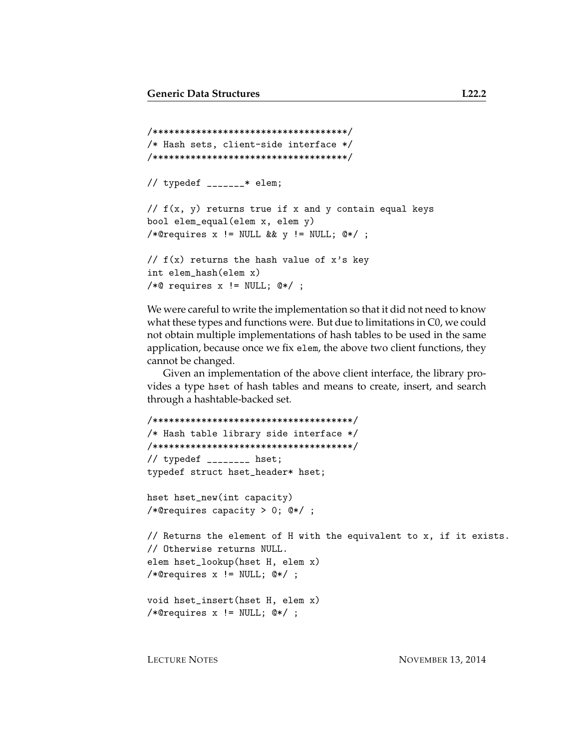```
/************************************/
/* Hash sets, client-side interface */
/************************************/
// typedef _______* elem;
// f(x, y) returns true if x and y contain equal keys
bool elem_equal(elem x, elem y)
/*@requires x != NULL && y != NULL; @*/ ;
// f(x) returns the hash value of x's key
int elem_hash(elem x)
/*@ requires x != NULL; @*/ ;
```
We were careful to write the implementation so that it did not need to know what these types and functions were. But due to limitations in C0, we could not obtain multiple implementations of hash tables to be used in the same application, because once we fix elem, the above two client functions, they cannot be changed.

Given an implementation of the above client interface, the library provides a type hset of hash tables and means to create, insert, and search through a hashtable-backed set.

```
/*************************************/
/* Hash table library side interface */
/*************************************/
// typedef ________ hset;
typedef struct hset_header* hset;
```

```
hset hset_new(int capacity)
/*@requires capacity > 0; @*/ ;
```

```
// Returns the element of H with the equivalent to x, if it exists.
// Otherwise returns NULL.
elem hset_lookup(hset H, elem x)
/*@requires x != NULL; @*/ ;
```

```
void hset_insert(hset H, elem x)
/*@requires x != NULL; @*/ ;
```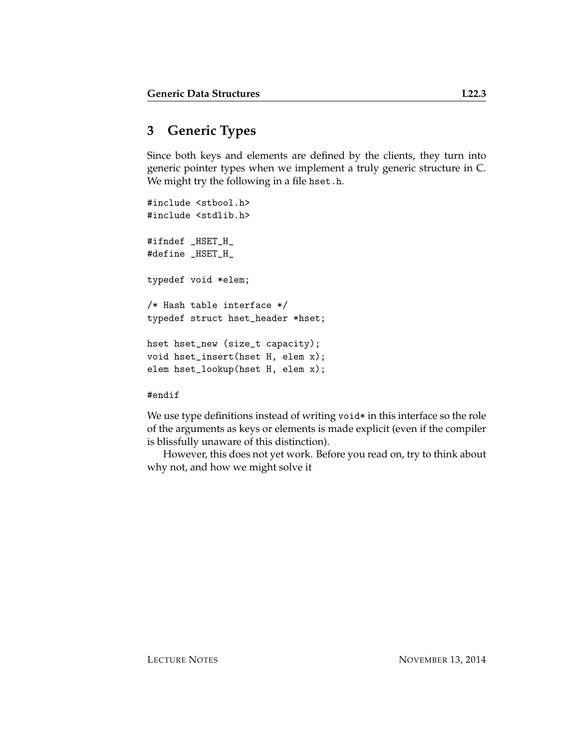# **3 Generic Types**

Since both keys and elements are defined by the clients, they turn into generic pointer types when we implement a truly generic structure in C. We might try the following in a file hset.h.

```
#include <stbool.h>
#include <stdlib.h>
#ifndef _HSET_H_
#define _HSET_H_
typedef void *elem;
/* Hash table interface */
typedef struct hset_header *hset;
hset hset_new (size_t capacity);
void hset_insert(hset H, elem x);
elem hset_lookup(hset H, elem x);
```
#### #endif

We use type definitions instead of writing void\* in this interface so the role of the arguments as keys or elements is made explicit (even if the compiler is blissfully unaware of this distinction).

However, this does not yet work. Before you read on, try to think about why not, and how we might solve it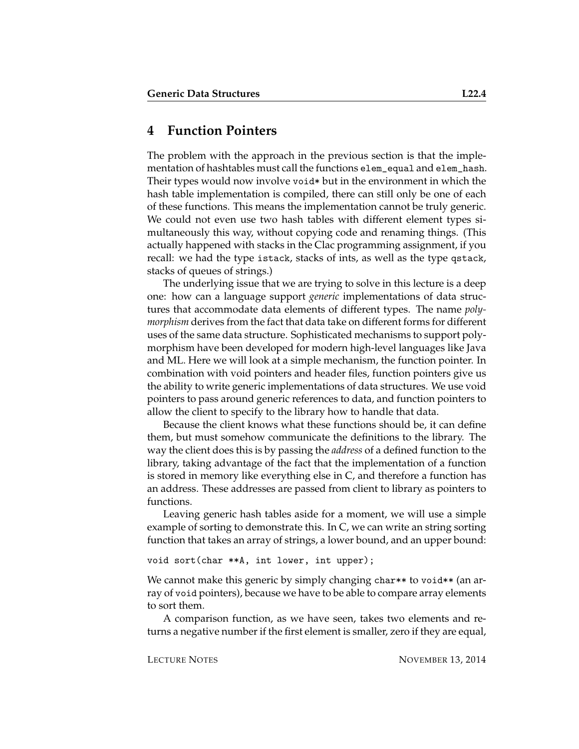#### **4 Function Pointers**

The problem with the approach in the previous section is that the implementation of hashtables must call the functions elem\_equal and elem\_hash. Their types would now involve void\* but in the environment in which the hash table implementation is compiled, there can still only be one of each of these functions. This means the implementation cannot be truly generic. We could not even use two hash tables with different element types simultaneously this way, without copying code and renaming things. (This actually happened with stacks in the Clac programming assignment, if you recall: we had the type istack, stacks of ints, as well as the type qstack, stacks of queues of strings.)

The underlying issue that we are trying to solve in this lecture is a deep one: how can a language support *generic* implementations of data structures that accommodate data elements of different types. The name *polymorphism* derives from the fact that data take on different forms for different uses of the same data structure. Sophisticated mechanisms to support polymorphism have been developed for modern high-level languages like Java and ML. Here we will look at a simple mechanism, the function pointer. In combination with void pointers and header files, function pointers give us the ability to write generic implementations of data structures. We use void pointers to pass around generic references to data, and function pointers to allow the client to specify to the library how to handle that data.

Because the client knows what these functions should be, it can define them, but must somehow communicate the definitions to the library. The way the client does this is by passing the *address* of a defined function to the library, taking advantage of the fact that the implementation of a function is stored in memory like everything else in C, and therefore a function has an address. These addresses are passed from client to library as pointers to functions.

Leaving generic hash tables aside for a moment, we will use a simple example of sorting to demonstrate this. In C, we can write an string sorting function that takes an array of strings, a lower bound, and an upper bound:

void sort(char \*\*A, int lower, int upper);

We cannot make this generic by simply changing char\*\* to void\*\* (an array of void pointers), because we have to be able to compare array elements to sort them.

A comparison function, as we have seen, takes two elements and returns a negative number if the first element is smaller, zero if they are equal,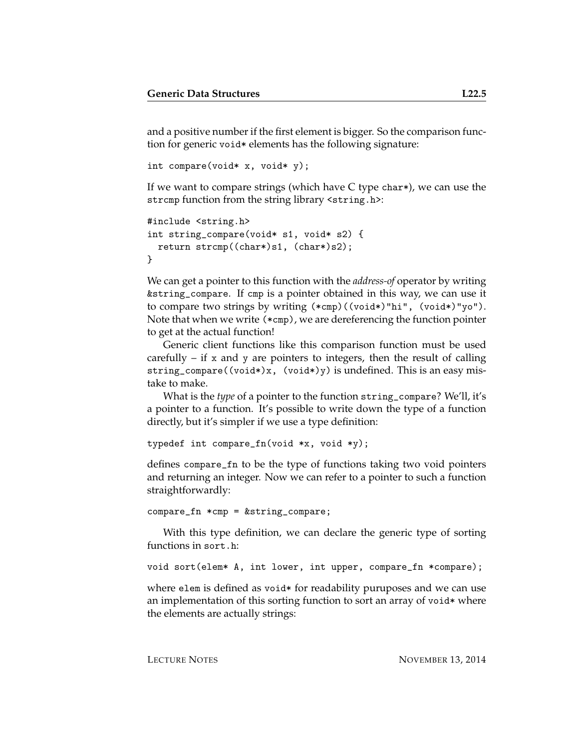and a positive number if the first element is bigger. So the comparison function for generic void\* elements has the following signature:

```
int compare(void* x, void* y);
```
If we want to compare strings (which have C type char\*), we can use the strcmp function from the string library <string.h>:

```
#include <string.h>
int string_compare(void* s1, void* s2) {
 return strcmp((char*)s1, (char*)s2);
}
```
We can get a pointer to this function with the *address-of* operator by writing &string\_compare. If cmp is a pointer obtained in this way, we can use it to compare two strings by writing (\*cmp)((void\*)"hi", (void\*)"yo"). Note that when we write (\*cmp), we are dereferencing the function pointer to get at the actual function!

Generic client functions like this comparison function must be used carefully  $-$  if x and y are pointers to integers, then the result of calling string\_compare((void\*)x, (void\*)y) is undefined. This is an easy mistake to make.

What is the *type* of a pointer to the function string\_compare? We'll, it's a pointer to a function. It's possible to write down the type of a function directly, but it's simpler if we use a type definition:

```
typedef int compare_fn(void *x, void *y);
```
defines compare\_fn to be the type of functions taking two void pointers and returning an integer. Now we can refer to a pointer to such a function straightforwardly:

```
compare_fn *cmp = &string_compare;
```
With this type definition, we can declare the generic type of sorting functions in sort.h:

```
void sort(elem* A, int lower, int upper, compare_fn *compare);
```
where elem is defined as void  $*$  for readability puruposes and we can use an implementation of this sorting function to sort an array of void\* where the elements are actually strings: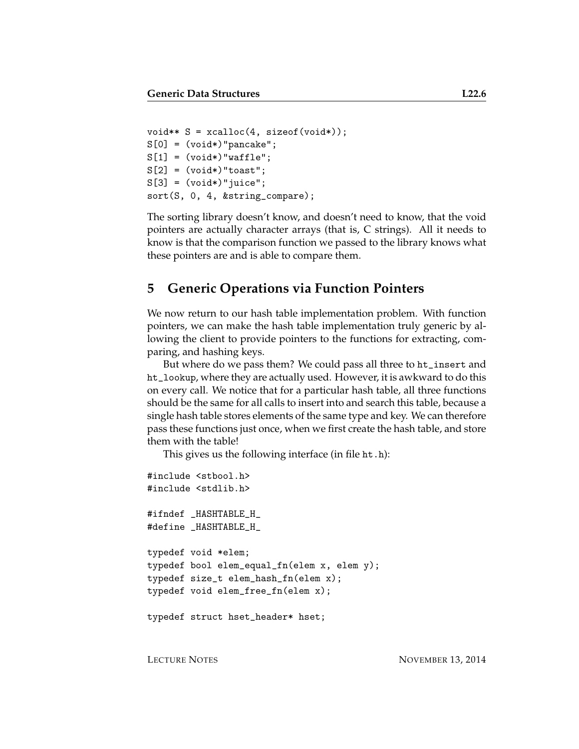```
void** S = xcalloc(4, sizeof(void*));S[0] = (void*) "pancake";S[1] = (void*) "waffle";S[2] = (void*) "toast";S[3] = (void*) "juice";sort(S, 0, 4, &string_compare);
```
The sorting library doesn't know, and doesn't need to know, that the void pointers are actually character arrays (that is, C strings). All it needs to know is that the comparison function we passed to the library knows what these pointers are and is able to compare them.

#### **5 Generic Operations via Function Pointers**

We now return to our hash table implementation problem. With function pointers, we can make the hash table implementation truly generic by allowing the client to provide pointers to the functions for extracting, comparing, and hashing keys.

But where do we pass them? We could pass all three to ht\_insert and ht\_lookup, where they are actually used. However, it is awkward to do this on every call. We notice that for a particular hash table, all three functions should be the same for all calls to insert into and search this table, because a single hash table stores elements of the same type and key. We can therefore pass these functions just once, when we first create the hash table, and store them with the table!

This gives us the following interface (in file ht.h):

```
#include <stbool.h>
#include <stdlib.h>
#ifndef _HASHTABLE_H_
#define _HASHTABLE_H_
typedef void *elem;
typedef bool elem_equal_fn(elem x, elem y);
typedef size_t elem_hash_fn(elem x);
typedef void elem_free_fn(elem x);
typedef struct hset_header* hset;
```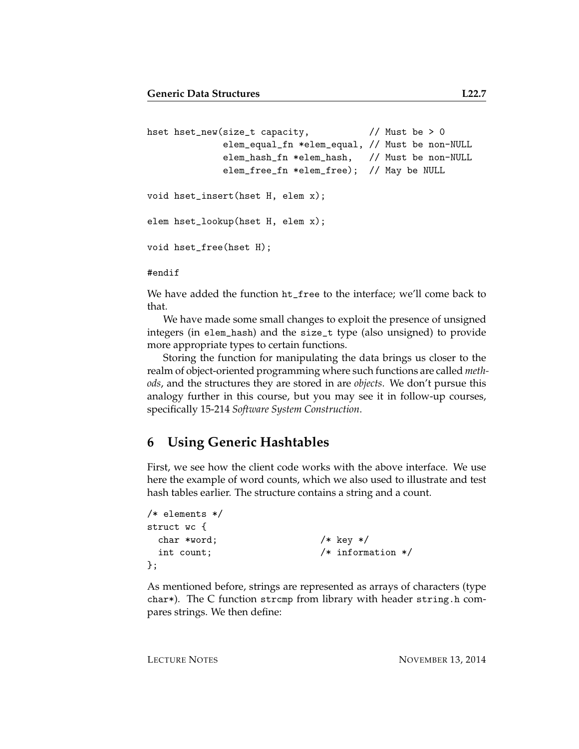```
hset hset_new(size_t capacity, // Must be > 0
             elem_equal_fn *elem_equal, // Must be non-NULL
             elem_hash_fn *elem_hash, // Must be non-NULL
             elem_free_fn *elem_free); // May be NULL
void hset_insert(hset H, elem x);
elem hset_lookup(hset H, elem x);
void hset_free(hset H);
#endif
```
We have added the function ht\_free to the interface; we'll come back to that.

We have made some small changes to exploit the presence of unsigned integers (in elem\_hash) and the size\_t type (also unsigned) to provide more appropriate types to certain functions.

Storing the function for manipulating the data brings us closer to the realm of object-oriented programming where such functions are called *methods*, and the structures they are stored in are *objects*. We don't pursue this analogy further in this course, but you may see it in follow-up courses, specifically 15-214 *Software System Construction*.

### **6 Using Generic Hashtables**

First, we see how the client code works with the above interface. We use here the example of word counts, which we also used to illustrate and test hash tables earlier. The structure contains a string and a count.

```
/* elements */
struct wc {
 char *word; /* key */int count; /* information */};
```
As mentioned before, strings are represented as arrays of characters (type char\*). The C function strcmp from library with header string.h compares strings. We then define: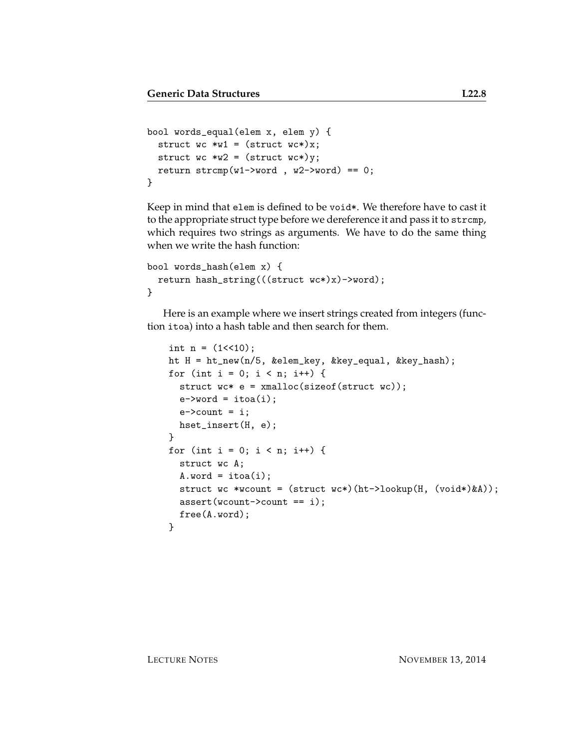```
bool words_equal(elem x, elem y) {
 struct wc >w1 = (struct wc*)x;struct wc >w2 = (struct wc*)y;return stromp(w1->word , w2->word) == 0;}
```
Keep in mind that elem is defined to be void\*. We therefore have to cast it to the appropriate struct type before we dereference it and pass it to strcmp, which requires two strings as arguments. We have to do the same thing when we write the hash function:

```
bool words_hash(elem x) {
  return hash_string(((struct wc*)x)->word);
}
```
Here is an example where we insert strings created from integers (function itoa) into a hash table and then search for them.

```
int n = (1 \le 10);ht H = ht_new(n/5, &elem_key, &key_equal, &key_hash);
for (int i = 0; i < n; i++) {
  struct wc* e = xmalloc(sizeof(struct wc));e->word = itoa(i);
  e->count = i;
 hset_insert(H, e);
}
for (int i = 0; i < n; i++) {
  struct wc A;
  A.word = itoa(i);
  struct wc *wcount = (struct wc*)(ht->lookup(H, (void*)&A));
  assert(wcount->count == i);free(A.word);
}
```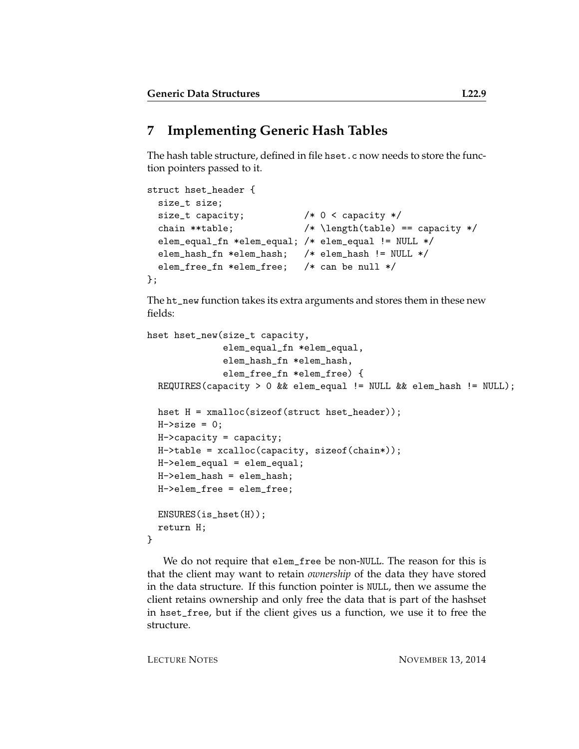# **7 Implementing Generic Hash Tables**

The hash table structure, defined in file hset.c now needs to store the function pointers passed to it.

```
struct hset_header {
 size_t size;
 size_t capacity; /* 0 < capacity */
 chain **table; /* \left(\theta\right) == capacity */elem_equal_fn *elem_equal; /* elem_equal != NULL */
 elem_hash_fn *elem_hash; /* elem_hash != NULL */
 elem_free_fn *elem_free; /* can be null */
};
```
The ht\_new function takes its extra arguments and stores them in these new fields:

```
hset hset_new(size_t capacity,
              elem_equal_fn *elem_equal,
              elem_hash_fn *elem_hash,
              elem_free_fn *elem_free) {
  REQUIRES(capacity > 0 && elem_equal != NULL && elem_hash != NULL);
 hset H = xmalloc(sizeof(struct hset_header));
 H->size = 0:
 H->capacity = capacity;
 H->table = xcalloc(capacity, sizeof(chain*));
 H->elem_equal = elem_equal;
 H->elem_hash = elem_hash;
 H->elem_free = elem_free;
 ENSURES(is_hset(H));
 return H;
}
```
We do not require that elem\_free be non-NULL. The reason for this is that the client may want to retain *ownership* of the data they have stored in the data structure. If this function pointer is NULL, then we assume the client retains ownership and only free the data that is part of the hashset in hset\_free, but if the client gives us a function, we use it to free the structure.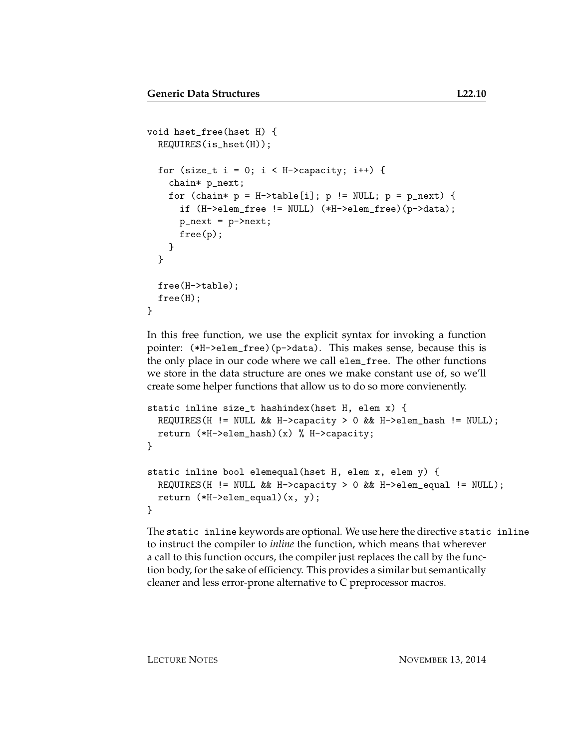```
void hset_free(hset H) {
  REQUIRES(is_hset(H));
  for (size_t i = 0; i < H->capacity; i++) {
    chain* p_next;
    for (chain* p = H-\text{stable}[i]; p := NULL; p = p_{next}) {
      if (H->elem_free != NULL) (*H->elem_free)(p->data);
      p_{\text{next}} = p-\text{next};free(p);
    }
  }
  free(H->table);
  free(H);
}
```
In this free function, we use the explicit syntax for invoking a function pointer: (\*H->elem\_free)(p->data). This makes sense, because this is the only place in our code where we call elem\_free. The other functions we store in the data structure are ones we make constant use of, so we'll create some helper functions that allow us to do so more convienently.

```
static inline size_t hashindex(hset H, elem x) {
 REQUIRES(H != NULL && H->capacity > 0 && H->elem_hash != NULL);
 return (*H->elem_hash)(x) % H->capacity;
}
static inline bool elemequal(hset H, elem x, elem y) {
 REQUIRES(H != NULL && H->capacity > 0 && H->elem_equal != NULL);
 return (*H->elem_equal)(x, y);
}
```
The static inline keywords are optional. We use here the directive static inline to instruct the compiler to *inline* the function, which means that wherever a call to this function occurs, the compiler just replaces the call by the function body, for the sake of efficiency. This provides a similar but semantically cleaner and less error-prone alternative to C preprocessor macros.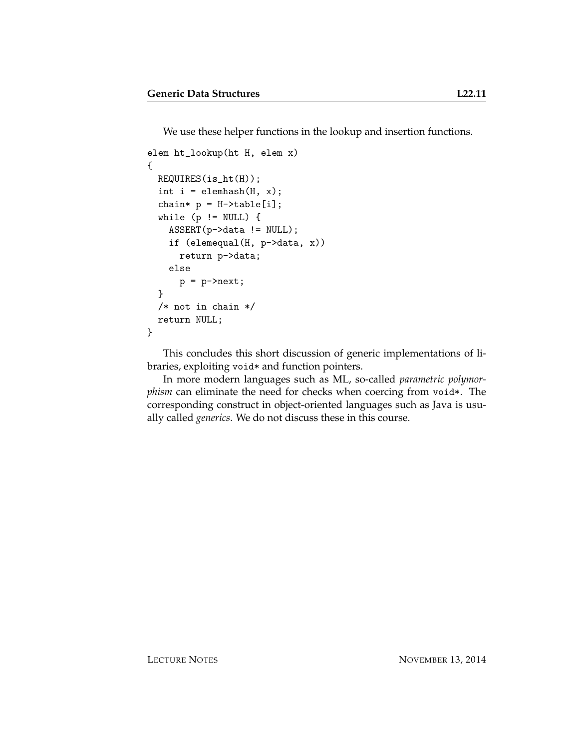We use these helper functions in the lookup and insertion functions.

```
elem ht_lookup(ht H, elem x)
{
 REQUIRES(is_ht(H));
  int i = element(H, x);chain* p = H-\text{stable}[i];
  while (p \mid = NULL) {
    ASSERT(p->data != NULL);
    if (elemequal(H, p->data, x))
      return p->data;
    else
      p = p->next;
  }
  /* not in chain */
  return NULL;
}
```
This concludes this short discussion of generic implementations of libraries, exploiting void\* and function pointers.

In more modern languages such as ML, so-called *parametric polymorphism* can eliminate the need for checks when coercing from void\*. The corresponding construct in object-oriented languages such as Java is usually called *generics*. We do not discuss these in this course.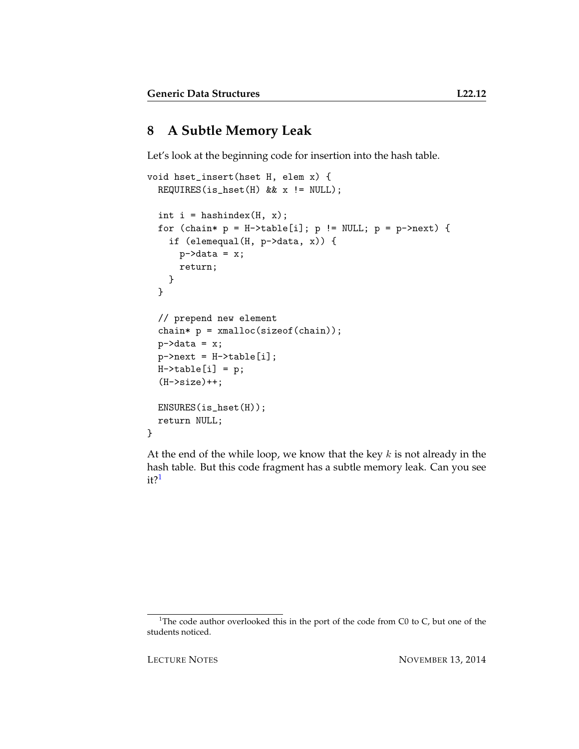# **8 A Subtle Memory Leak**

Let's look at the beginning code for insertion into the hash table.

```
void hset_insert(hset H, elem x) {
  REQUIRES(is_hset(H) && x != NULL);
  int i = hashindex(H, x);
  for (chain* p = H-\text{stable}[i]; p := NULL; p = p-\text{next}) {
    if (elemequal(H, p->data, x)) {
      p->data = x;
      return;
    }
  }
  // prepend new element
  chain* p = \text{smalloc}(sizeof(chain));p->data = x;
  p->next = H->table[i];
  H-\gttable[i] = p;(H->size)++;ENSURES(is_hset(H));
  return NULL;
}
```
At the end of the while loop, we know that the key  $k$  is not already in the hash table. But this code fragment has a subtle memory leak. Can you see  $it?$ <sup>[1](#page-11-0)</sup>

<span id="page-11-0"></span><sup>&</sup>lt;sup>1</sup>The code author overlooked this in the port of the code from C0 to C, but one of the students noticed.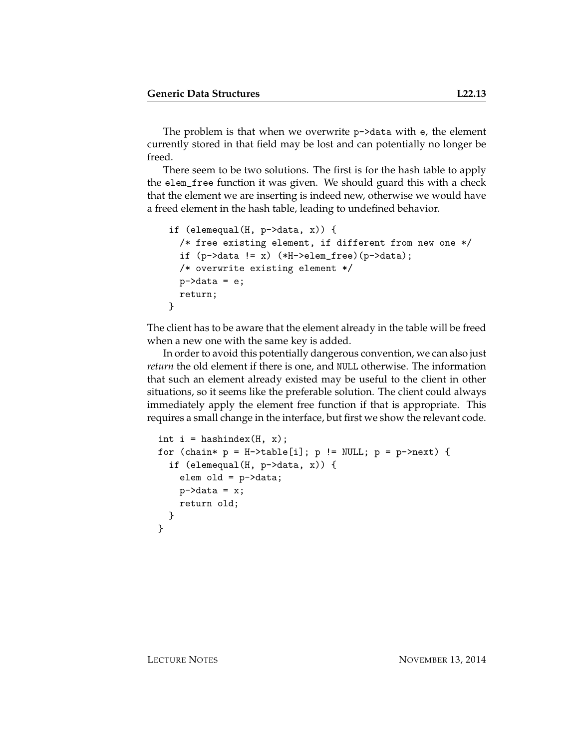The problem is that when we overwrite p->data with e, the element currently stored in that field may be lost and can potentially no longer be freed.

There seem to be two solutions. The first is for the hash table to apply the elem\_free function it was given. We should guard this with a check that the element we are inserting is indeed new, otherwise we would have a freed element in the hash table, leading to undefined behavior.

```
if (elemequal(H, p->data, x)) {
  /* free existing element, if different from new one */
  if (p-\lambda) = x \cdot (*H-\lambda) = (p-\lambda) + (p-\lambda);
  /* overwrite existing element */
  p->data = e;
  return;
}
```
The client has to be aware that the element already in the table will be freed when a new one with the same key is added.

In order to avoid this potentially dangerous convention, we can also just *return* the old element if there is one, and NULL otherwise. The information that such an element already existed may be useful to the client in other situations, so it seems like the preferable solution. The client could always immediately apply the element free function if that is appropriate. This requires a small change in the interface, but first we show the relevant code.

```
int i = hashindex(H, x);
for (chain* p = H-\text{table}[i]; p := NULL; p = p-\text{next}) {
  if (elemequal(H, p->data, x)) {
    elem old = p->data;
    p->data = x;
    return old;
  }
}
```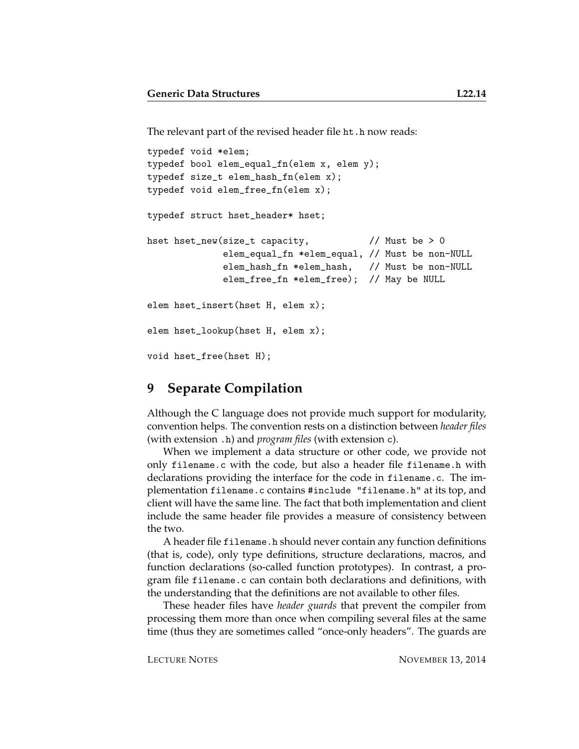The relevant part of the revised header file ht.h now reads:

```
typedef void *elem;
typedef bool elem_equal_fn(elem x, elem y);
typedef size_t elem_hash_fn(elem x);
typedef void elem_free_fn(elem x);
typedef struct hset_header* hset;
hset hset_new(size_t capacity, // Must be > 0
             elem_equal_fn *elem_equal, // Must be non-NULL
              elem_hash_fn *elem_hash, // Must be non-NULL
              elem_free_fn *elem_free); // May be NULL
elem hset_insert(hset H, elem x);
elem hset_lookup(hset H, elem x);
void hset_free(hset H);
```
#### <span id="page-13-0"></span>**9 Separate Compilation**

Although the C language does not provide much support for modularity, convention helps. The convention rests on a distinction between *header files* (with extension .h) and *program files* (with extension c).

When we implement a data structure or other code, we provide not only filename.c with the code, but also a header file filename.h with declarations providing the interface for the code in filename.c. The implementation filename.c contains #include "filename.h" at its top, and client will have the same line. The fact that both implementation and client include the same header file provides a measure of consistency between the two.

A header file filename.h should never contain any function definitions (that is, code), only type definitions, structure declarations, macros, and function declarations (so-called function prototypes). In contrast, a program file filename.c can contain both declarations and definitions, with the understanding that the definitions are not available to other files.

These header files have *header guards* that prevent the compiler from processing them more than once when compiling several files at the same time (thus they are sometimes called "once-only headers". The guards are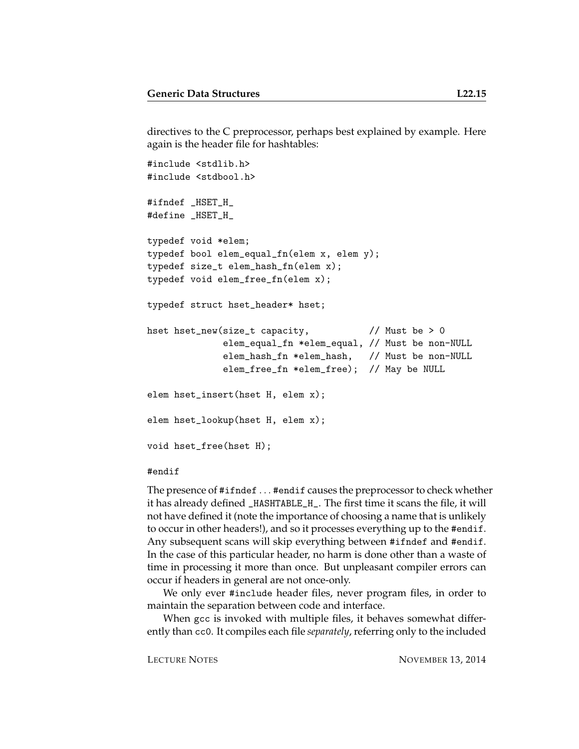directives to the C preprocessor, perhaps best explained by example. Here again is the header file for hashtables:

```
#include <stdlib.h>
#include <stdbool.h>
#ifndef _HSET_H_
#define _HSET_H_
typedef void *elem;
typedef bool elem_equal_fn(elem x, elem y);
typedef size_t elem_hash_fn(elem x);
typedef void elem_free_fn(elem x);
typedef struct hset_header* hset;
hset hset_new(size_t capacity, // Must be > 0
             elem_equal_fn *elem_equal, // Must be non-NULL
             elem_hash_fn *elem_hash, // Must be non-NULL
             elem_free_fn *elem_free); // May be NULL
elem hset_insert(hset H, elem x);
elem hset_lookup(hset H, elem x);
void hset_free(hset H);
```
#### #endif

The presence of #ifndef . . . #endif causes the preprocessor to check whether it has already defined \_HASHTABLE\_H\_. The first time it scans the file, it will not have defined it (note the importance of choosing a name that is unlikely to occur in other headers!), and so it processes everything up to the #endif. Any subsequent scans will skip everything between #ifndef and #endif. In the case of this particular header, no harm is done other than a waste of time in processing it more than once. But unpleasant compiler errors can occur if headers in general are not once-only.

We only ever #include header files, never program files, in order to maintain the separation between code and interface.

When gcc is invoked with multiple files, it behaves somewhat differently than cc0. It compiles each file *separately*, referring only to the included